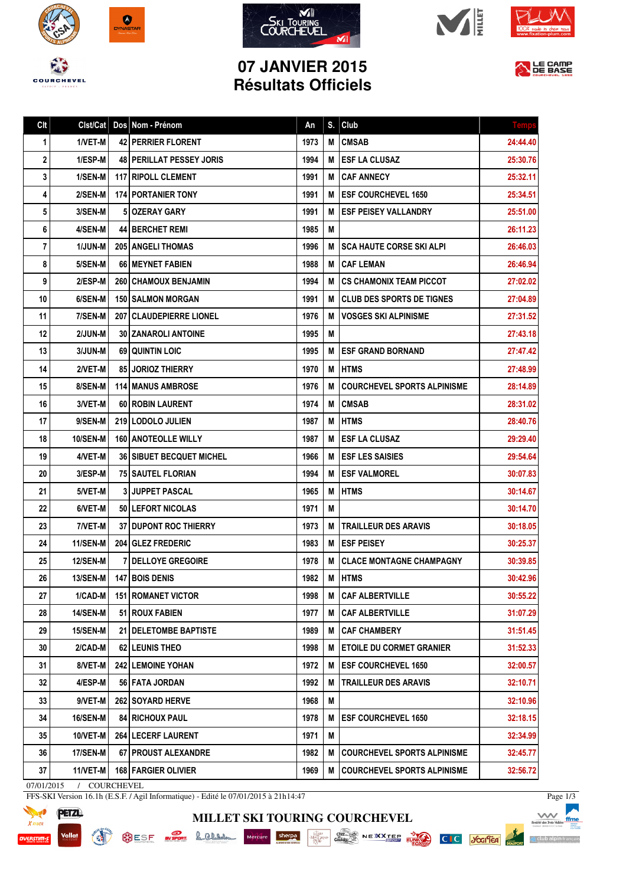



Clt Clst/Cat Dos Nom - Prénom An S. Club







LE CAMP

## **07 JANVIER 2015 Résultats Officiels**

| $\mathbf 1$ | 1/VET-M         | 42 PERRIER FLORENT                | 1973 | М | <b>CMSAB</b>                        | 24:44.40 |
|-------------|-----------------|-----------------------------------|------|---|-------------------------------------|----------|
| $\mathbf 2$ | 1/ESP-M         | <b>48   PERILLAT PESSEY JORIS</b> | 1994 |   | M ESF LA CLUSAZ                     | 25:30.76 |
| 3           | $1/SEM$ -M      | 117 RIPOLL CLEMENT                | 1991 |   | <b>M ICAF ANNECY</b>                | 25:32.11 |
| 4           | 2/SEN-M         | <b>174 PORTANIER TONY</b>         | 1991 |   | M <b>ESF COURCHEVEL 1650</b>        | 25:34.51 |
| 5           | 3/SEN-M         | 510ZERAY GARY                     | 1991 | М | <b>IESF PEISEY VALLANDRY</b>        | 25:51.00 |
| 6           | 4/SEN-M         | <b>44 BERCHET REMI</b>            | 1985 | М |                                     | 26:11.23 |
| 7           | $1/JUN-M$       | <b>205 ANGELI THOMAS</b>          | 1996 |   | <b>M ISCA HAUTE CORSE SKI ALPI</b>  | 26:46.03 |
| 8           | 5/SEN-M         | 66 MEYNET FABIEN                  | 1988 |   | <b>M CAF LEMAN</b>                  | 26:46.94 |
| 9           | $2/ESP-M$       | <b>260   CHAMOUX BENJAMIN</b>     | 1994 |   | M CS CHAMONIX TEAM PICCOT           | 27:02.02 |
| 10          | 6/SEN-M         | 150 SALMON MORGAN                 | 1991 |   | <b>M ICLUB DES SPORTS DE TIGNES</b> | 27:04.89 |
| 11          | 7/SEN-M         | 207 CLAUDEPIERRE LIONEL           | 1976 | M | <b>VOSGES SKI ALPINISME</b>         | 27:31.52 |
| 12          | 2/JUN-M         | <b>30 ZANAROLI ANTOINE</b>        | 1995 | М |                                     | 27:43.18 |
| 13          | 3/JUN-M         | <b>69 QUINTIN LOIC</b>            | 1995 | М | <b>IESF GRAND BORNAND</b>           | 27:47.42 |
| 14          | 2/VET-M         | <b>85 JORIOZ THIERRY</b>          | 1970 | М | <b>HTMS</b>                         | 27:48.99 |
| 15          | 8/SEN-M         | <b>114 MANUS AMBROSE</b>          | 1976 | M | <b>COURCHEVEL SPORTS ALPINISME</b>  | 28:14.89 |
| 16          | 3/VET-M         | 60 ROBIN LAURENT                  | 1974 |   | <b>M CMSAB</b>                      | 28:31.02 |
| 17          | 9/SEN-M         | 219 LODOLO JULIEN                 | 1987 |   | <b>M IHTMS</b>                      | 28:40.76 |
| 18          | 10/SEN-M        | <b>160   ANOTEOLLE WILLY</b>      | 1987 | м | <b>I ESF LA CLUSAZ</b>              | 29:29.40 |
| 19          | 4/VET-M         | <b>36   SIBUET BECQUET MICHEL</b> | 1966 |   | <b>M LESF LES SAISIES</b>           | 29:54.64 |
| 20          | 3/ESP-M         | 75   SAUTEL FLORIAN               | 1994 |   | M <b>ESF VALMOREL</b>               | 30:07.83 |
| 21          | 5/VET-M         | 3 JUPPET PASCAL                   | 1965 | М | <b>HTMS</b>                         | 30:14.67 |
| 22          | 6/VET-M         | 50 LEFORT NICOLAS                 | 1971 | М |                                     | 30:14.70 |
| 23          | 7/VET-M         | 37 DUPONT ROC THIERRY             | 1973 | М | <b>TRAILLEUR DES ARAVIS</b>         | 30:18.05 |
| 24          | 11/SEN-M        | 204 GLEZ FREDERIC                 | 1983 |   | <b>M LESF PEISEY</b>                | 30:25.37 |
| 25          | <b>12/SEN-M</b> | 7 DELLOYE GREGOIRE                | 1978 |   | M CLACE MONTAGNE CHAMPAGNY          | 30:39.85 |
| 26          | 13/SEN-M        | <b>147 BOIS DENIS</b>             | 1982 |   | <b>M HTMS</b>                       | 30:42.96 |
| 27          | $1/CAD-M$       | <b>151 ROMANET VICTOR</b>         | 1998 | M | <b>CAF ALBERTVILLE</b>              | 30:55.22 |
| 28          | 14/SEN-M        | 51 ROUX FABIEN                    | 1977 |   | M CAF ALBERTVILLE                   | 31:07.29 |
| 29          | 15/SEN-M        | 21 DELETOMBE BAPTISTE             | 1989 | м | <b>CAF CHAMBERY</b>                 | 31:51.45 |
| 30          | 2/CAD-M         | 62 LEUNIS THEO                    | 1998 | М | <b>ETOILE DU CORMET GRANIER</b>     | 31:52.33 |
| 31          | 8/VET-M         | <b>242 LEMOINE YOHAN</b>          | 1972 | M | <b>ESF COURCHEVEL 1650</b>          | 32:00.57 |
| 32          | 4/ESP-M         | 56 FATA JORDAN                    | 1992 | M | <b>TRAILLEUR DES ARAVIS</b>         | 32:10.71 |
| 33          | 9/VET-M         | 262 SOYARD HERVE                  | 1968 | M |                                     | 32:10.96 |
| 34          | <b>16/SEN-M</b> | <b>84 RICHOUX PAUL</b>            | 1978 | M | <b>ESF COURCHEVEL 1650</b>          | 32:18.15 |
| 35          | $10/VET-M$      | 264 LECERF LAURENT                | 1971 | M |                                     | 32:34.99 |
| 36          | <b>17/SEN-M</b> | 67 PROUST ALEXANDRE               | 1982 | M | <b>COURCHEVEL SPORTS ALPINISME</b>  | 32:45.77 |
| 37          | $11/VET-M$      | 168 FARGIER OLIVIER               | 1969 | М | <b>COURCHEVEL SPORTS ALPINISME</b>  | 32:56.72 |
| 07/01/2015  | / COURCHEVEL    |                                   |      |   |                                     |          |

**MILLET SKI TOURING COURCHEVEL**

FFS-SKI Version 16.1h (E.S.F. / Agil Informatique) - Edité le 07/01/2015 à 21h14:47

SESF **BUSEON** & CLANS



**CET** 

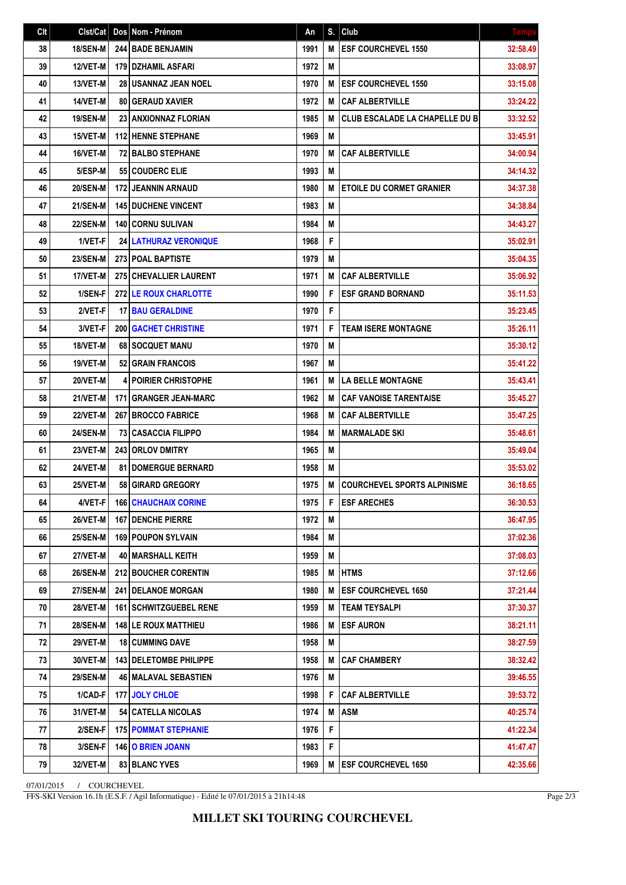| Clt | Clst/Cat        | Dos Nom - Prénom                | An   | S. | Club                                  | <b>Temps</b> |
|-----|-----------------|---------------------------------|------|----|---------------------------------------|--------------|
| 38  | 18/SEN-M        | 244 BADE BENJAMIN               | 1991 | M  | <b>ESF COURCHEVEL 1550</b>            | 32:58.49     |
| 39  | 12/VET-M        | 179 DZHAMIL ASFARI              | 1972 | M  |                                       | 33:08.97     |
| 40  | 13/VET-M        | <b>28 I USANNAZ JEAN NOEL</b>   | 1970 | M  | <b>ESF COURCHEVEL 1550</b>            | 33:15.08     |
| 41  | 14/VET-M        | <b>80 GERAUD XAVIER</b>         | 1972 | M  | <b>CAF ALBERTVILLE</b>                | 33:24.22     |
| 42  | 19/SEN-M        | <b>23   ANXIONNAZ FLORIAN</b>   | 1985 | M  | <b>CLUB ESCALADE LA CHAPELLE DU B</b> | 33:32.52     |
| 43  | 15/VET-M        | <b>112 HENNE STEPHANE</b>       | 1969 | M  |                                       | 33:45.91     |
| 44  | 16/VET-M        | <b>72 BALBO STEPHANE</b>        | 1970 | M  | <b>CAF ALBERTVILLE</b>                | 34:00.94     |
| 45  | 5/ESP-M         | 55 COUDERC ELIE                 | 1993 | M  |                                       | 34:14.32     |
| 46  | <b>20/SEN-M</b> | 172 JEANNIN ARNAUD              | 1980 | M  | <b>ETOILE DU CORMET GRANIER</b>       | 34:37.38     |
| 47  | <b>21/SEN-M</b> | <b>145 DUCHENE VINCENT</b>      | 1983 | M  |                                       | 34:38.84     |
| 48  | <b>22/SEN-M</b> | 140 CORNU SULIVAN               | 1984 | Μ  |                                       | 34:43.27     |
| 49  | 1/VET-F         | <b>24 LATHURAZ VERONIQUE</b>    | 1968 | F  |                                       | 35:02.91     |
| 50  | <b>23/SEN-M</b> | 273 POAL BAPTISTE               | 1979 | M  |                                       | 35:04.35     |
| 51  | 17/VET-M        | 275 CHEVALLIER LAURENT          | 1971 | M  | <b>CAF ALBERTVILLE</b>                | 35:06.92     |
| 52  | 1/SEN-F         | <b>272 LE ROUX CHARLOTTE</b>    | 1990 | F  | <b>ESF GRAND BORNAND</b>              | 35:11.53     |
| 53  | 2/VET-F         | <b>17 BAU GERALDINE</b>         | 1970 | F  |                                       | 35:23.45     |
| 54  | 3/VET-F         | <b>200 GACHET CHRISTINE</b>     | 1971 | F  | <b>TEAM ISERE MONTAGNE</b>            | 35:26.11     |
| 55  | 18/VET-M        | 68 SOCQUET MANU                 | 1970 | M  |                                       | 35:30.12     |
| 56  | 19/VET-M        | <b>52 GRAIN FRANCOIS</b>        | 1967 | M  |                                       | 35:41.22     |
| 57  | <b>20/VET-M</b> | <b>POIRIER CHRISTOPHE</b>       | 1961 | M  | <b>LA BELLE MONTAGNE</b>              | 35:43.41     |
| 58  | 21/VET-M        | <b>171 GRANGER JEAN-MARC</b>    | 1962 | M  | <b>CAF VANOISE TARENTAISE</b>         | 35:45.27     |
| 59  | 22/VET-M        | 267 BROCCO FABRICE              | 1968 | M  | <b>CAF ALBERTVILLE</b>                | 35:47.25     |
| 60  | <b>24/SEN-M</b> | <b>73 CASACCIA FILIPPO</b>      | 1984 | M  | <b>MARMALADE SKI</b>                  | 35:48.61     |
| 61  | <b>23/VET-M</b> | 243 ORLOV DMITRY                | 1965 | M  |                                       | 35:49.04     |
| 62  | 24/VET-M        | <b>81 I DOMERGUE BERNARD</b>    | 1958 | M  |                                       | 35:53.02     |
| 63  | 25/VET-M        | 58 GIRARD GREGORY               | 1975 | M  | <b>COURCHEVEL SPORTS ALPINISME</b>    | 36:18.65     |
| 64  | $4/VET-F$       | <b>166 CHAUCHAIX CORINE</b>     | 1975 | F  | <b>ESF ARECHES</b>                    | 36:30.53     |
| 65  | <b>26/VET-M</b> | <b>167   DENCHE PIERRE</b>      | 1972 | M  |                                       | 36:47.95     |
| 66  | <b>25/SEN-M</b> | <b>169 POUPON SYLVAIN</b>       | 1984 | M  |                                       | 37:02.36     |
| 67  | 27/VET-M        | <b>40   MARSHALL KEITH</b>      | 1959 | M  |                                       | 37:08.03     |
| 68  | <b>26/SEN-M</b> | 212 BOUCHER CORENTIN            | 1985 | M  | <b>HTMS</b>                           | 37:12.66     |
| 69  | <b>27/SEN-M</b> | <b>241 I DELANOE MORGAN</b>     | 1980 | M  | <b>ESF COURCHEVEL 1650</b>            | 37:21.44     |
| 70  | <b>28/VET-M</b> | <b>161   SCHWITZGUEBEL RENE</b> | 1959 | M  | <b>TEAM TEYSALPI</b>                  | 37:30.37     |
| 71  | <b>28/SEN-M</b> | <b>148 LE ROUX MATTHIEU</b>     | 1986 | M  | <b>ESF AURON</b>                      | 38:21.11     |
| 72  | <b>29/VET-M</b> | <b>18 CUMMING DAVE</b>          | 1958 | Μ  |                                       | 38:27.59     |
| 73  | 30/VET-M        | 143 DELETOMBE PHILIPPE          | 1958 | M  | <b>CAF CHAMBERY</b>                   | 38:32.42     |
| 74  | <b>29/SEN-M</b> | <b>46   MALAVAL SEBASTIEN</b>   | 1976 | Μ  |                                       | 39:46.55     |
| 75  | 1/CAD-F         | 177 JOLY CHLOE                  | 1998 | F  | <b>CAF ALBERTVILLE</b>                | 39:53.72     |
| 76  | 31/VET-M        | 54 CATELLA NICOLAS              | 1974 | M  | <b>ASM</b>                            | 40:25.74     |
| 77  | 2/SEN-F         | <b>175 POMMAT STEPHANIE</b>     | 1976 | F  |                                       | 41:22.34     |
| 78  | 3/SEN-F         | <b>146 O BRIEN JOANN</b>        | 1983 | F  |                                       | 41:47.47     |
| 79  | 32/VET-M        | 83 BLANC YVES                   | 1969 | M  | <b>ESF COURCHEVEL 1650</b>            | 42:35.66     |

07/01/2015 / COURCHEVEL

FFS-SKI Version 16.1h (E.S.F. / Agil Informatique) - Edité le 07/01/2015 à 21h14:48

Page 2/3